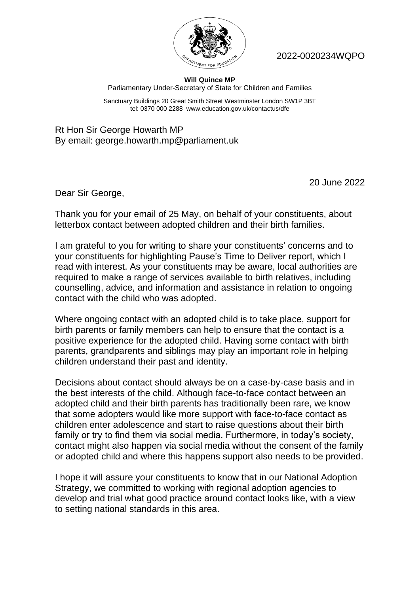

2022-0020234WQPO

## **Will Quince MP** Parliamentary Under-Secretary of State for Children and Families

Sanctuary Buildings 20 Great Smith Street Westminster London SW1P 3BT tel: 0370 000 2288 www.education.gov.uk/contactus/dfe

Rt Hon Sir George Howarth MP By email: [george.howarth.mp@parliament.uk](mailto:george.howarth.mp@parliament.uk)

20 June 2022

Dear Sir George,

Thank you for your email of 25 May, on behalf of your constituents, about letterbox contact between adopted children and their birth families.

I am grateful to you for writing to share your constituents' concerns and to your constituents for highlighting Pause's Time to Deliver report, which I read with interest. As your constituents may be aware, local authorities are required to make a range of services available to birth relatives, including counselling, advice, and information and assistance in relation to ongoing contact with the child who was adopted.

Where ongoing contact with an adopted child is to take place, support for birth parents or family members can help to ensure that the contact is a positive experience for the adopted child. Having some contact with birth parents, grandparents and siblings may play an important role in helping children understand their past and identity.

Decisions about contact should always be on a case-by-case basis and in the best interests of the child. Although face-to-face contact between an adopted child and their birth parents has traditionally been rare, we know that some adopters would like more support with face-to-face contact as children enter adolescence and start to raise questions about their birth family or try to find them via social media. Furthermore, in today's society, contact might also happen via social media without the consent of the family or adopted child and where this happens support also needs to be provided.

I hope it will assure your constituents to know that in our National Adoption Strategy, we committed to working with regional adoption agencies to develop and trial what good practice around contact looks like, with a view to setting national standards in this area.